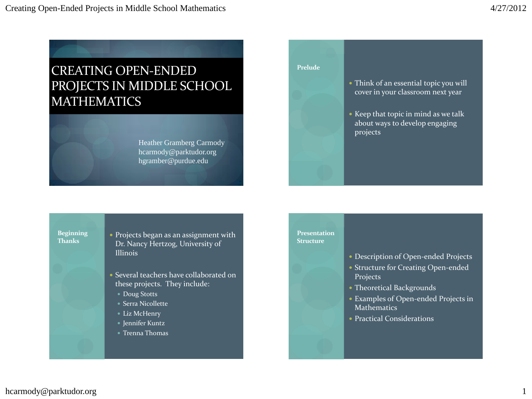# CREATING OPEN-ENDED PROJECTS IN MIDDLE SCHOOL MATHEMATICS

Heather Gramberg Carmody hcarmody@parktudor.org hgramber@purdue.edu

#### **Prelude**

- Think of an essential topic you will cover in your classroom next year
- Keep that topic in mind as we talk about ways to develop engaging projects

**Beginning Thanks**

- Projects began as an assignment with Dr. Nancy Hertzog, University of Illinois
- Several teachers have collaborated on these projects. They include:
	- Doug Stotts
	- Serra Nicollette
	- Liz McHenry
	- Jennifer Kuntz
	- Trenna Thomas

#### **Presentation Structure**

- Description of Open-ended Projects
- Structure for Creating Open-ended Projects
- Theoretical Backgrounds
- Examples of Open-ended Projects in Mathematics
- Practical Considerations

hcarmody@parktudor.org 1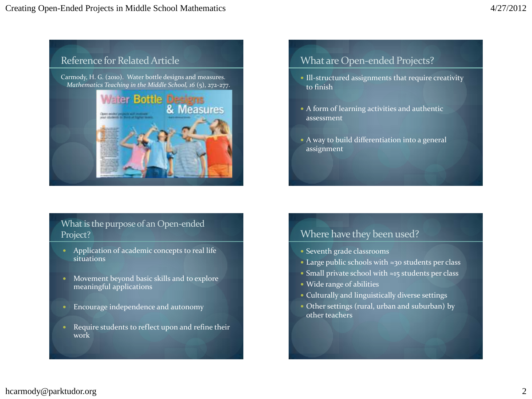

### What is the purpose of an Open-ended Project?

- Application of academic concepts to real life situations
- Movement beyond basic skills and to explore meaningful applications
- Encourage independence and autonomy
- Require students to reflect upon and refine their work

### What are Open-ended Projects?

- Ill-structured assignments that require creativity to finish
- A form of learning activities and authentic assessment
- A way to build differentiation into a general assignment

### Where have they been used?

- Seventh grade classrooms
- Large public schools with ≈30 students per class
- Small private school with ≈15 students per class
- Wide range of abilities
- Culturally and linguistically diverse settings
- Other settings (rural, urban and suburban) by other teachers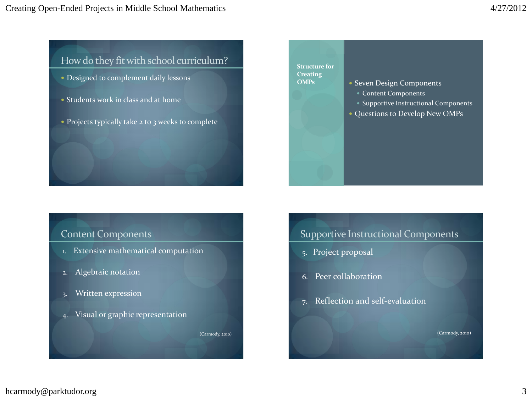### How do they fit with school curriculum?

- Designed to complement daily lessons
- Students work in class and at home
- Projects typically take 2 to 3 weeks to complete

### Content Components

- 1. Extensive mathematical computation
- 2. Algebraic notation
- 3. Written expression
- 4. Visual or graphic representation

(Carmody, 2010)

#### **Structure for Creating OMPs**

- Seven Design Components
	- Content Components
	- Supportive Instructional Components
- Questions to Develop New OMPs

### Supportive Instructional Components

- 5. Project proposal
- 6. Peer collaboration
- 7. Reflection and self-evaluation

(Carmody, 2010)

### hcarmody@parktudor.org 3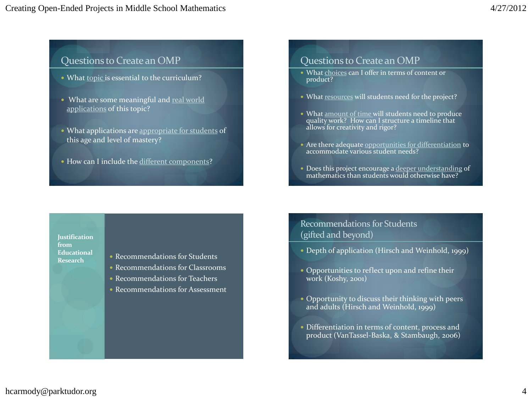## Questions to Create an OMP

- What topic is essential to the curriculum?
- What are some meaningful and real world applications of this topic?
- What applications are appropriate for students of this age and level of mastery?
- How can I include the different components?

### Questions to Create an OMP

- What choices can I offer in terms of content or product?
- What resources will students need for the project?
- What amount of time will students need to produce quality work? How can I structure a timeline that allows for creativity and rigor?
- Are there adequate opportunities for differentiation to accommodate various student needs?
- Does this project encourage a deeper understanding of mathematics than students would otherwise have?

#### **Justification from Educational Research**

- Recommendations for Students
- Recommendations for Classrooms
- Recommendations for Teachers
- Recommendations for Assessment

### Recommendations for Students (gifted and beyond)

- Depth of application (Hirsch and Weinhold, 1999)
- Opportunities to reflect upon and refine their work (Koshy, 2001)
- Opportunity to discuss their thinking with peers and adults (Hirsch and Weinhold, 1999)
- Differentiation in terms of content, process and product (VanTassel-Baska, & Stambaugh, 2006)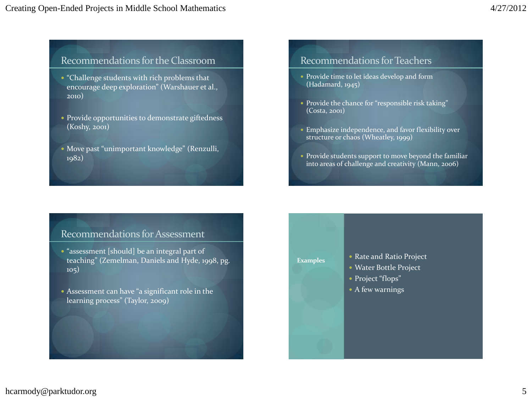### Recommendations for the Classroom

- "Challenge students with rich problems that encourage deep exploration" (Warshauer et al., 2010)
- **Provide opportunities to demonstrate giftedness** (Koshy, 2001)
- Move past "unimportant knowledge" (Renzulli, 1982)

### Recommendations for Teachers

- Provide time to let ideas develop and form (Hadamard, 1945)
- Provide the chance for "responsible risk taking" (Costa, 2001)
- Emphasize independence, and favor flexibility over structure or chaos (Wheatley, 1999)
- Provide students support to move beyond the familiar into areas of challenge and creativity (Mann, 2006)

### Recommendations for Assessment

- "assessment [should] be an integral part of teaching" (Zemelman, Daniels and Hyde, 1998, pg. 105)
- Assessment can have "a significant role in the learning process" (Taylor, 2009)

#### **Examples**

- Rate and Ratio Project Water Bottle Project
- Project "flops"
- A few warnings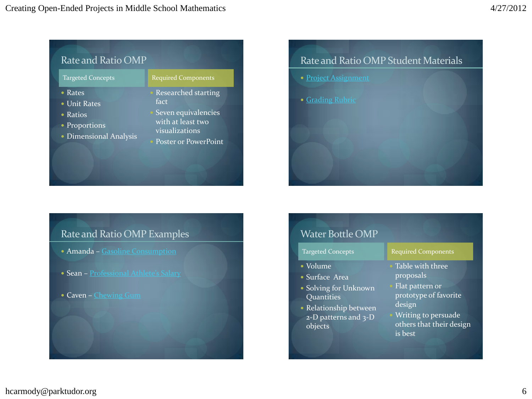| Rate and Ratio OMP                                                                             |                                                                                                                   |
|------------------------------------------------------------------------------------------------|-------------------------------------------------------------------------------------------------------------------|
| <b>Targeted Concepts</b>                                                                       | <b>Required Components</b>                                                                                        |
| $\bullet$ Rates<br>• Unit Rates<br>$\bullet$ Ratios<br>• Proportions<br>• Dimensional Analysis | Researched starting<br>fact<br>Seven equivalencies<br>with at least two<br>visualizations<br>Poster or PowerPoint |

# Rate and Ratio OMP Examples

- Amanda [Gasoline Consumption](Amanda short.pptx)
- Sean [Professional Athlete's Salary](baseball salary project.pptx)
- Caven [Chewing Gum](gum project.pptx)



| <b>Water Bottle OMP</b>                                                                                                            |                                                                                                                                                   |
|------------------------------------------------------------------------------------------------------------------------------------|---------------------------------------------------------------------------------------------------------------------------------------------------|
| Targeted Concepts                                                                                                                  | <b>Required Components</b>                                                                                                                        |
| • Volume<br>• Surface Area<br>• Solving for Unknown<br>Quantities<br>• Relationship between<br>$2-D$ patterns and $3-D$<br>objects | Table with three<br>proposals<br>Flat pattern or<br>prototype of favorite<br>design<br>Writing to persuade<br>others that their design<br>is best |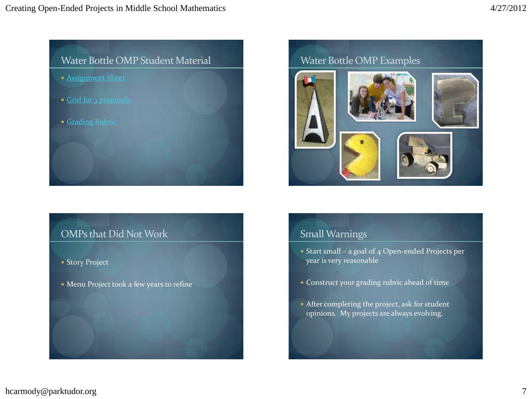# Water Bottle OMP Student Material

- [Assignment Sheet](Water Bottle Project.docx)
- [Grid for 3 proposals](water bottle grid.docx)
- [Grading Rubric](Water Bottle Rubric.docx)

### OMPs that Did Not Work

- Story Project
- Menu Project took a few years to refine



### Small Warnings

- Start small a goal of  $4$  Open-ended Projects per year is very reasonable
- Construct your grading rubric ahead of time
- After completing the project, ask for student opinions. My projects are always evolving.

### hcarmody@parktudor.org 7